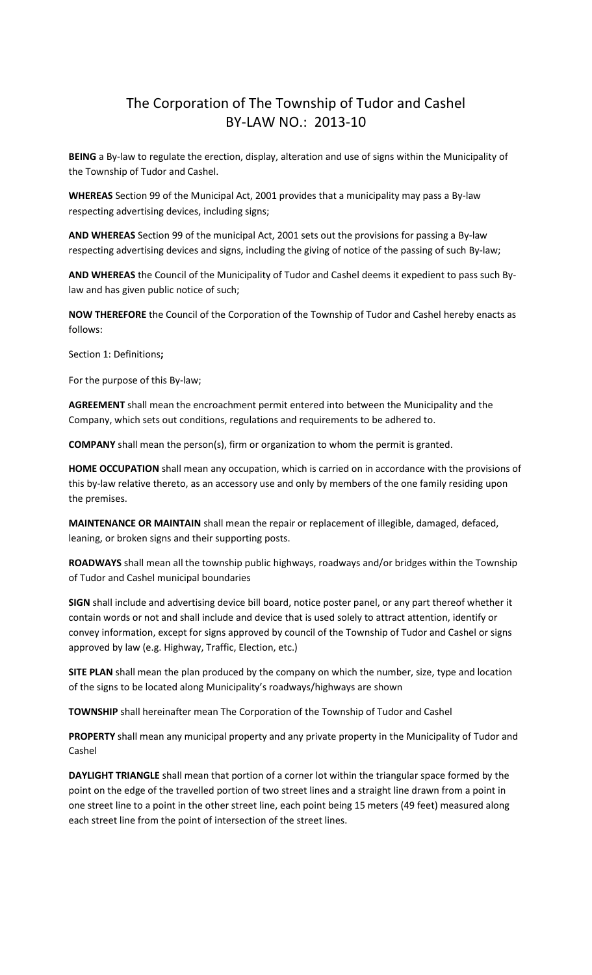### The Corporation of The Township of Tudor and Cashel BY-LAW NO.: 2013-10

**BEING** a By-law to regulate the erection, display, alteration and use of signs within the Municipality of the Township of Tudor and Cashel.

**WHEREAS** Section 99 of the Municipal Act, 2001 provides that a municipality may pass a By-law respecting advertising devices, including signs;

**AND WHEREAS** Section 99 of the municipal Act, 2001 sets out the provisions for passing a By-law respecting advertising devices and signs, including the giving of notice of the passing of such By-law;

**AND WHEREAS** the Council of the Municipality of Tudor and Cashel deems it expedient to pass such Bylaw and has given public notice of such;

**NOW THEREFORE** the Council of the Corporation of the Township of Tudor and Cashel hereby enacts as follows:

Section 1: Definitions**;**

For the purpose of this By-law;

**AGREEMENT** shall mean the encroachment permit entered into between the Municipality and the Company, which sets out conditions, regulations and requirements to be adhered to.

**COMPANY** shall mean the person(s), firm or organization to whom the permit is granted.

**HOME OCCUPATION** shall mean any occupation, which is carried on in accordance with the provisions of this by-law relative thereto, as an accessory use and only by members of the one family residing upon the premises.

**MAINTENANCE OR MAINTAIN** shall mean the repair or replacement of illegible, damaged, defaced, leaning, or broken signs and their supporting posts.

**ROADWAYS** shall mean all the township public highways, roadways and/or bridges within the Township of Tudor and Cashel municipal boundaries

**SIGN** shall include and advertising device bill board, notice poster panel, or any part thereof whether it contain words or not and shall include and device that is used solely to attract attention, identify or convey information, except for signs approved by council of the Township of Tudor and Cashel or signs approved by law (e.g. Highway, Traffic, Election, etc.)

**SITE PLAN** shall mean the plan produced by the company on which the number, size, type and location of the signs to be located along Municipality's roadways/highways are shown

**TOWNSHIP** shall hereinafter mean The Corporation of the Township of Tudor and Cashel

**PROPERTY** shall mean any municipal property and any private property in the Municipality of Tudor and Cashel

**DAYLIGHT TRIANGLE** shall mean that portion of a corner lot within the triangular space formed by the point on the edge of the travelled portion of two street lines and a straight line drawn from a point in one street line to a point in the other street line, each point being 15 meters (49 feet) measured along each street line from the point of intersection of the street lines.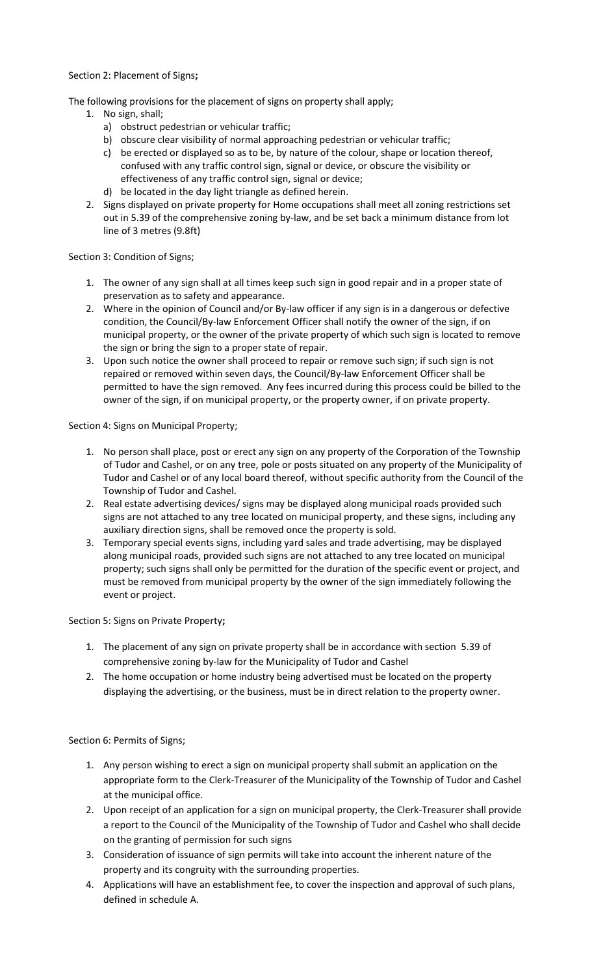Section 2: Placement of Signs**;**

The following provisions for the placement of signs on property shall apply;

- 1. No sign, shall;
	- a) obstruct pedestrian or vehicular traffic;
	- b) obscure clear visibility of normal approaching pedestrian or vehicular traffic;
	- c) be erected or displayed so as to be, by nature of the colour, shape or location thereof, confused with any traffic control sign, signal or device, or obscure the visibility or effectiveness of any traffic control sign, signal or device;
	- d) be located in the day light triangle as defined herein.
	- 2. Signs displayed on private property for Home occupations shall meet all zoning restrictions set out in 5.39 of the comprehensive zoning by-law, and be set back a minimum distance from lot line of 3 metres (9.8ft)

Section 3: Condition of Signs;

- 1. The owner of any sign shall at all times keep such sign in good repair and in a proper state of preservation as to safety and appearance.
- 2. Where in the opinion of Council and/or By-law officer if any sign is in a dangerous or defective condition, the Council/By-law Enforcement Officer shall notify the owner of the sign, if on municipal property, or the owner of the private property of which such sign is located to remove the sign or bring the sign to a proper state of repair.
- 3. Upon such notice the owner shall proceed to repair or remove such sign; if such sign is not repaired or removed within seven days, the Council/By-law Enforcement Officer shall be permitted to have the sign removed. Any fees incurred during this process could be billed to the owner of the sign, if on municipal property, or the property owner, if on private property.

Section 4: Signs on Municipal Property;

- 1. No person shall place, post or erect any sign on any property of the Corporation of the Township of Tudor and Cashel, or on any tree, pole or posts situated on any property of the Municipality of Tudor and Cashel or of any local board thereof, without specific authority from the Council of the Township of Tudor and Cashel.
- 2. Real estate advertising devices/ signs may be displayed along municipal roads provided such signs are not attached to any tree located on municipal property, and these signs, including any auxiliary direction signs, shall be removed once the property is sold.
- 3. Temporary special events signs, including yard sales and trade advertising, may be displayed along municipal roads, provided such signs are not attached to any tree located on municipal property; such signs shall only be permitted for the duration of the specific event or project, and must be removed from municipal property by the owner of the sign immediately following the event or project.

Section 5: Signs on Private Property**;**

- 1. The placement of any sign on private property shall be in accordance with section 5.39 of comprehensive zoning by-law for the Municipality of Tudor and Cashel
- 2. The home occupation or home industry being advertised must be located on the property displaying the advertising, or the business, must be in direct relation to the property owner.

Section 6: Permits of Signs;

- 1. Any person wishing to erect a sign on municipal property shall submit an application on the appropriate form to the Clerk-Treasurer of the Municipality of the Township of Tudor and Cashel at the municipal office.
- 2. Upon receipt of an application for a sign on municipal property, the Clerk-Treasurer shall provide a report to the Council of the Municipality of the Township of Tudor and Cashel who shall decide on the granting of permission for such signs
- 3. Consideration of issuance of sign permits will take into account the inherent nature of the property and its congruity with the surrounding properties.
- 4. Applications will have an establishment fee, to cover the inspection and approval of such plans, defined in schedule A.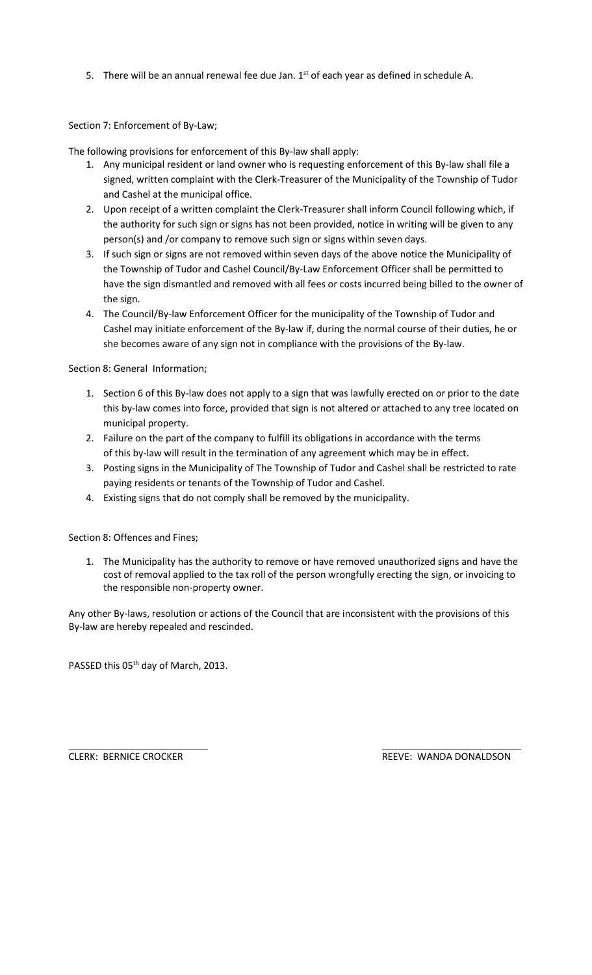5. There will be an annual renewal fee due Jan.  $1<sup>st</sup>$  of each year as defined in schedule A.

Section 7: Enforcement of By-Law;

The following provisions for enforcement of this By-law shall apply:

- 1. Any municipal resident or land owner who is requesting enforcement of this By-law shall file a signed, written complaint with the Clerk-Treasurer of the Municipality of the Township of Tudor and Cashel at the municipal office.
- 2. Upon receipt of a written complaint the Clerk-Treasurer shall inform Council following which, if the authority for such sign or signs has not been provided, notice in writing will be given to any person(s) and /or company to remove such sign or signs within seven days.
- 3. If such sign or signs are not removed within seven days of the above notice the Municipality of the Township of Tudor and Cashel Council/By-Law Enforcement Officer shall be permitted to have the sign dismantled and removed with all fees or costs incurred being billed to the owner of the sign.
- 4. The Council/By-law Enforcement Officer for the municipality of the Township of Tudor and Cashel may initiate enforcement of the By-law if, during the normal course of their duties, he or she becomes aware of any sign not in compliance with the provisions of the By-law.

Section 8: General Information;

- 1. Section 6 of this By-law does not apply to a sign that was lawfully erected on or prior to the date this by-law comes into force, provided that sign is not altered or attached to any tree located on municipal property.
- 2. Failure on the part of the company to fulfill its obligations in accordance with the terms of this by-law will result in the termination of any agreement which may be in effect.
- 3. Posting signs in the Municipality of The Township of Tudor and Cashel shall be restricted to rate paying residents or tenants of the Township of Tudor and Cashel.
- 4. Existing signs that do not comply shall be removed by the municipality.

Section 8: Offences and Fines;

1. The Municipality has the authority to remove or have removed unauthorized signs and have the cost of removal applied to the tax roll of the person wrongfully erecting the sign, or invoicing to the responsible non-property owner.

Any other By-laws, resolution or actions of the Council that are inconsistent with the provisions of this By-law are hereby repealed and rescinded.

PASSED this 05<sup>th</sup> day of March, 2013.

CLERK: BERNICE CROCKER **REEVE: WANDA DONALDSON**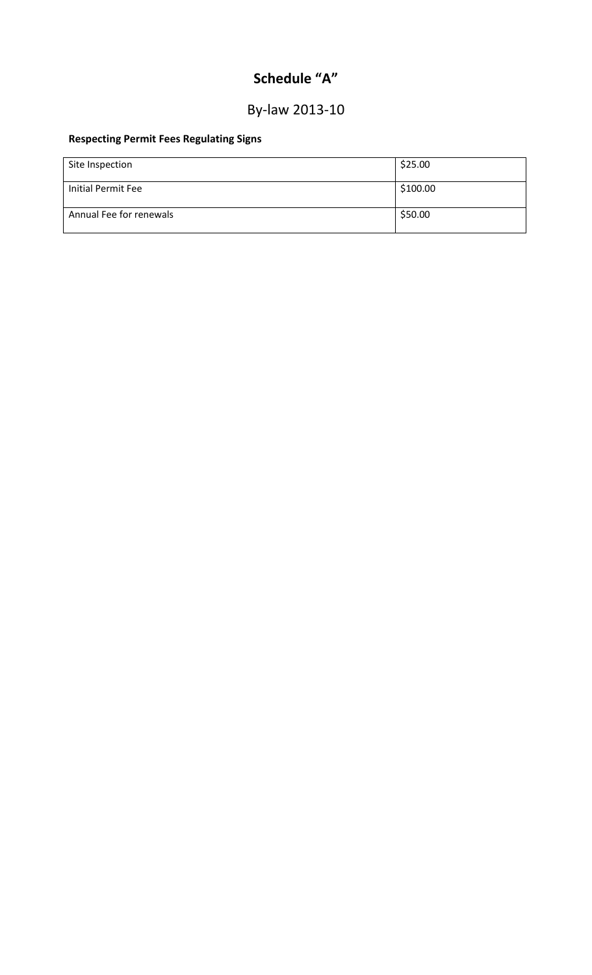# **Schedule "A"**

## By-law 2013-10

#### **Respecting Permit Fees Regulating Signs**

| Site Inspection         | \$25.00  |
|-------------------------|----------|
| Initial Permit Fee      | \$100.00 |
| Annual Fee for renewals | \$50.00  |